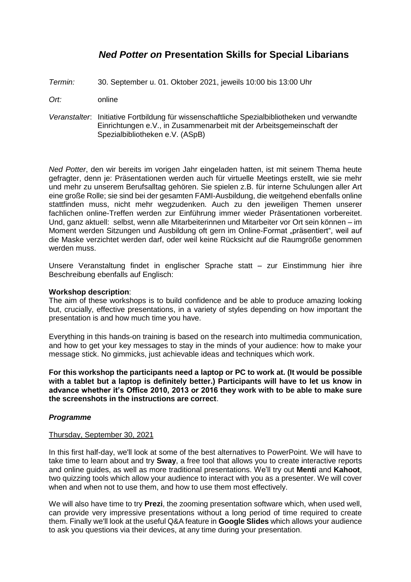# *Ned Potter on* **Presentation Skills for Special Libarians**

- *Termin:* 30. September u. 01. Oktober 2021, jeweils 10:00 bis 13:00 Uhr
- *Ort:* online
- *Veranstalter*: Initiative Fortbildung für wissenschaftliche Spezialbibliotheken und verwandte Einrichtungen e.V., in Zusammenarbeit mit der Arbeitsgemeinschaft der Spezialbibliotheken e.V. (ASpB)

*Ned Potter*, den wir bereits im vorigen Jahr eingeladen hatten, ist mit seinem Thema heute gefragter, denn je: Präsentationen werden auch für virtuelle Meetings erstellt, wie sie mehr und mehr zu unserem Berufsalltag gehören. Sie spielen z.B. für interne Schulungen aller Art eine große Rolle; sie sind bei der gesamten FAMI-Ausbildung, die weitgehend ebenfalls online stattfinden muss, nicht mehr wegzudenken. Auch zu den jeweiligen Themen unserer fachlichen online-Treffen werden zur Einführung immer wieder Präsentationen vorbereitet. Und, ganz aktuell: selbst, wenn alle Mitarbeiterinnen und Mitarbeiter vor Ort sein können – im Moment werden Sitzungen und Ausbildung oft gern im Online-Format "präsentiert", weil auf die Maske verzichtet werden darf, oder weil keine Rücksicht auf die Raumgröße genommen werden muss.

Unsere Veranstaltung findet in englischer Sprache statt – zur Einstimmung hier ihre Beschreibung ebenfalls auf Englisch:

### **Workshop description**:

The aim of these workshops is to build confidence and be able to produce amazing looking but, crucially, effective presentations, in a variety of styles depending on how important the presentation is and how much time you have.

Everything in this hands-on training is based on the research into multimedia communication, and how to get your key messages to stay in the minds of your audience: how to make your message stick. No gimmicks, just achievable ideas and techniques which work.

**For this workshop the participants need a laptop or PC to work at. (It would be possible with a tablet but a laptop is definitely better.) Participants will have to let us know in advance whether it's Office 2010, 2013 or 2016 they work with to be able to make sure the screenshots in the instructions are correct**.

## *Programme*

### Thursday, September 30, 2021

In this first half-day, we'll look at some of the best alternatives to PowerPoint. We will have to take time to learn about and try **Sway**, a free tool that allows you to create interactive reports and online guides, as well as more traditional presentations. We'll try out **Menti** and **Kahoot**, two quizzing tools which allow your audience to interact with you as a presenter. We will cover when and when not to use them, and how to use them most effectively.

We will also have time to try **Prezi**, the zooming presentation software which, when used well, can provide very impressive presentations without a long period of time required to create them. Finally we'll look at the useful Q&A feature in **Google Slides** which allows your audience to ask you questions via their devices, at any time during your presentation.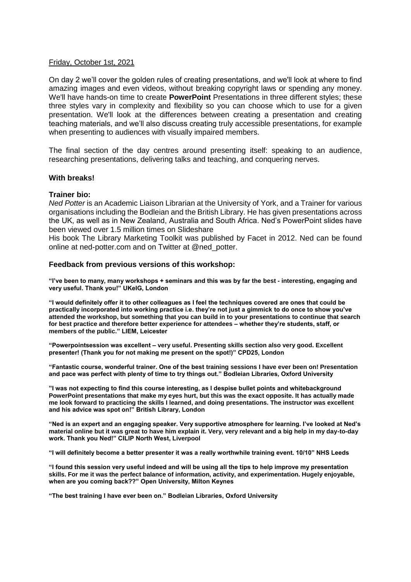### Friday, October 1st, 2021

On day 2 we'll cover the golden rules of creating presentations, and we'll look at where to find amazing images and even videos, without breaking copyright laws or spending any money. We'll have hands-on time to create **PowerPoint** Presentations in three different styles; these three styles vary in complexity and flexibility so you can choose which to use for a given presentation. We'll look at the differences between creating a presentation and creating teaching materials, and we'll also discuss creating truly accessible presentations, for example when presenting to audiences with visually impaired members.

The final section of the day centres around presenting itself: speaking to an audience, researching presentations, delivering talks and teaching, and conquering nerves.

### **With breaks!**

#### **Trainer bio:**

*Ned Potter* is an Academic Liaison Librarian at the University of York, and a Trainer for various organisations including the Bodleian and the British Library. He has given presentations across the UK, as well as in New Zealand, Australia and South Africa. Ned's PowerPoint slides have been viewed over 1.5 million times on Slideshare

His book The Library Marketing Toolkit was published by Facet in 2012. Ned can be found online at ned-potter.com and on Twitter at @ned\_potter.

#### **Feedback from previous versions of this workshop:**

**"I've been to many, many workshops + seminars and this was by far the best - interesting, engaging and very useful. Thank you!" UKeIG, London**

**"I would definitely offer it to other colleagues as I feel the techniques covered are ones that could be practically incorporated into working practice i.e. they're not just a gimmick to do once to show you've attended the workshop, but something that you can build in to your presentations to continue that search for best practice and therefore better experience for attendees – whether they're students, staff, or members of the public." LIEM, Leicester**

**"Powerpointsession was excellent – very useful. Presenting skills section also very good. Excellent presenter! (Thank you for not making me present on the spot!)" CPD25, London**

**"Fantastic course, wonderful trainer. One of the best training sessions I have ever been on! Presentation and pace was perfect with plenty of time to try things out." Bodleian Libraries, Oxford University**

**"I was not expecting to find this course interesting, as I despise bullet points and whitebackground PowerPoint presentations that make my eyes hurt, but this was the exact opposite. It has actually made me look forward to practicing the skills I learned, and doing presentations. The instructor was excellent and his advice was spot on!" British Library, London**

**"Ned is an expert and an engaging speaker. Very supportive atmosphere for learning. I've looked at Ned's material online but it was great to have him explain it. Very, very relevant and a big help in my day-to-day work. Thank you Ned!" CILIP North West, Liverpool** 

**"I will definitely become a better presenter it was a really worthwhile training event. 10/10" NHS Leeds**

**"I found this session very useful indeed and will be using all the tips to help improve my presentation skills. For me it was the perfect balance of information, activity, and experimentation. Hugely enjoyable, when are you coming back??" Open University, Milton Keynes**

**"The best training I have ever been on." Bodleian Libraries, Oxford University**